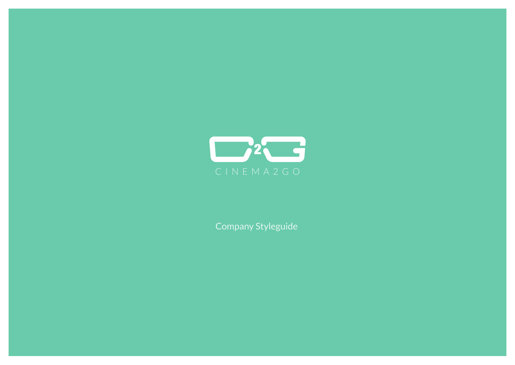

Company Styleguide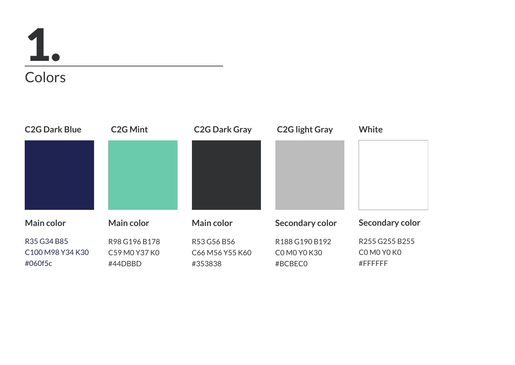## **Colors** 1.

**Main color** R98 G196 B178 C59 M0 Y37 K0 #44DBBD **C2G Mint Main color** R53 G56 B56 C66 M56 Y55 K60 #353838 **C2G Dark Gray Secondary color** R188 G190 B192 C0 M0 Y0 K30 #BCBEC0 **C2G light Gray Secondary color** R255 G255 B255 C0 M0 Y0 K0 #FFFFFF **White Main color** R35 G34 B85 C100 M98 Y34 K30 #060f5c **C2G Dark Blue**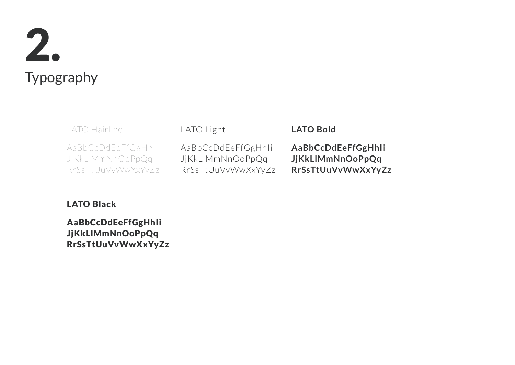# 2.

#### Typography

LATO Hairline

AaBbCcDdEeFfGgHhIi JjKkLlMmNnOoPpQq RrSsTtUuVvWwXxYyZz LATO Light

AaBbCcDdEeFfGgHhIi JjKkLlMmNnOoPpQq RrSsTtUuVvWwXxYyZz

#### **LATO Bold**

**AaBbCcDdEeFfGgHhIi JjKkLlMmNnOoPpQq RrSsTtUuVvWwXxYyZz**

#### LATO Black

AaBbCcDdEeFfGgHhIi JjKkLlMmNnOoPpQq RrSsTtUuVvWwXxYyZz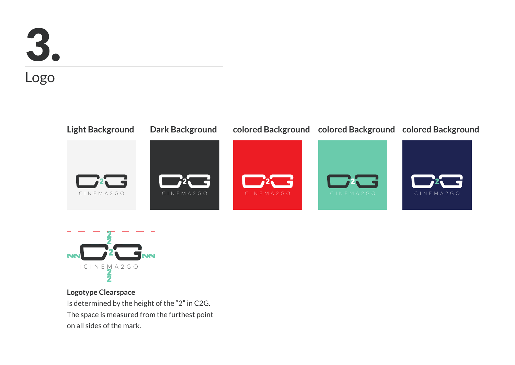

#### Logo





**Logotype Clearspace** Is determined by the height of the "2" in C2G. The space is measured from the furthest point on all sides of the mark.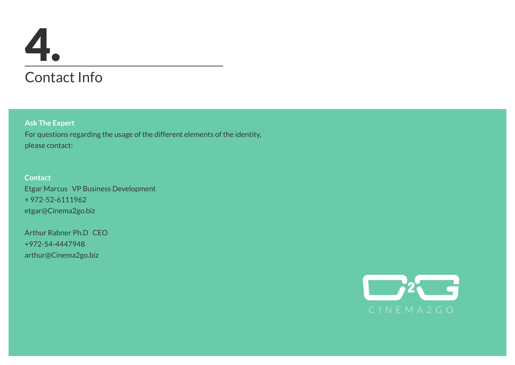### Contact Info 4.

**Ask The Expert** For questions regarding the usage of the different elements of the identity, please contact:

**Contact** Etgar Marcus VP Business Development + 972-52-6111962 etgar@Cinema2go.biz

Arthur Rabner Ph.D CEO +972-54-4447948 arthur@Cinema2go.biz

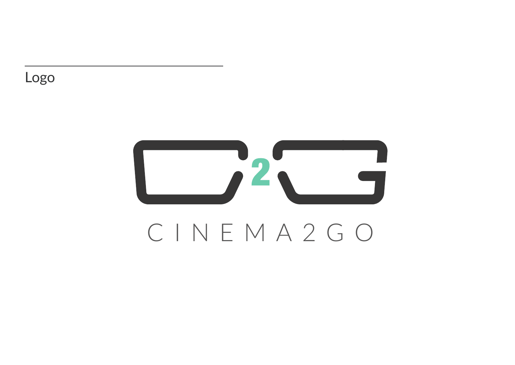Logo